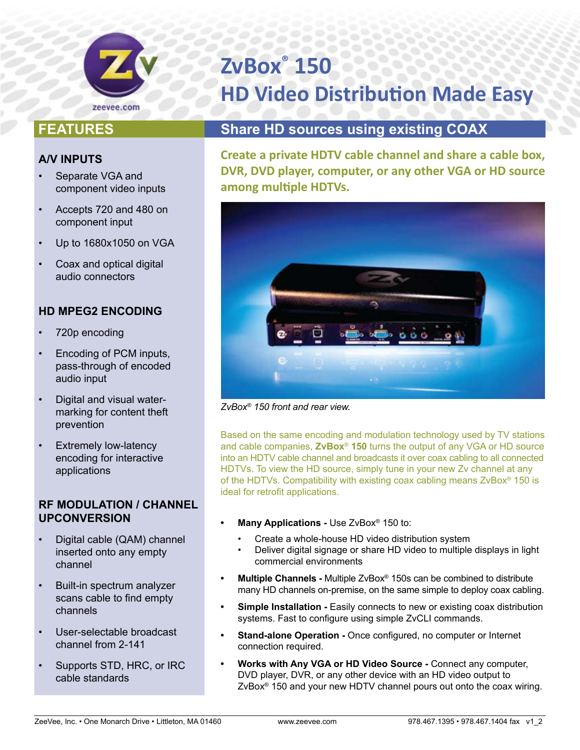

# **ZvBox® 150 HD Video Distribution Made Easy**

# **FEATURES**

### **A/V INPUTS**

- Separate VGA and component video inputs
- Accepts 720 and 480 on component input
- Up to 1680x1050 on VGA
- Coax and optical digital audio connectors

## **HD MPEG2 ENCODING**

- 720p encoding
- Encoding of PCM inputs, pass-through of encoded audio input
- Digital and visual watermarking for content theft prevention
- **Extremely low-latency** encoding for interactive applications

### **RF MODULATION / CHANNEL UPCONVERSION**

- Digital cable (QAM) channel inserted onto any empty channel
- Built-in spectrum analyzer scans cable to find empty channels
- User-selectable broadcast channel from 2-141
- Supports STD, HRC, or IRC cable standards

# **Share HD sources using existing COAX**

**Create a private HDTV cable channel and share a cable box, DVR, DVD player, computer, or any other VGA or HD source among multiple HDTVs.**



*ZvBox® 150 front and rear view.*

Based on the same encoding and modulation technology used by TV stations and cable companies, **ZvBox**® **150** turns the output of any VGA or HD source into an HDTV cable channel and broadcasts it over coax cabling to all connected HDTVs. To view the HD source, simply tune in your new Zv channel at any of the HDTVs. Compatibility with existing coax cabling means ZvBox® 150 is ideal for retrofit applications.

- **Many Applications Use ZvBox<sup>®</sup> 150 to:** 
	- Create a whole-house HD video distribution system
	- Deliver digital signage or share HD video to multiple displays in light commercial environments
- **Multiple Channels -** Multiple ZvBox<sup>®</sup> 150s can be combined to distribute many HD channels on-premise, on the same simple to deploy coax cabling.
- **Simple Installation -** Easily connects to new or existing coax distribution systems. Fast to configure using simple ZvCLI commands.
- **Stand-alone Operation -** Once configured, no computer or Internet connection required.
- **Works with Any VGA or HD Video Source Connect any computer,** DVD player, DVR, or any other device with an HD video output to ZvBox® 150 and your new HDTV channel pours out onto the coax wiring.